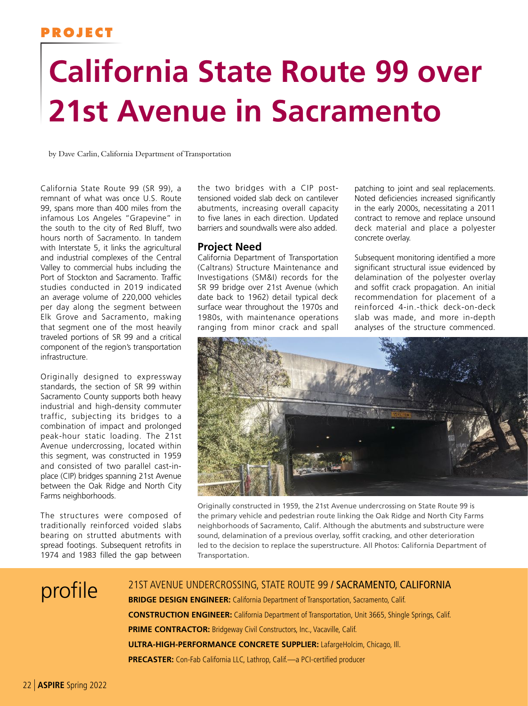## **PROJECT**

# **California State Route 99 over 21st Avenue in Sacramento**

by Dave Carlin, California Department of Transportation

California State Route 99 (SR 99), a remnant of what was once U.S. Route 99, spans more than 400 miles from the infamous Los Angeles "Grapevine" in the south to the city of Red Bluff, two hours north of Sacramento. In tandem with Interstate 5, it links the agricultural and industrial complexes of the Central Valley to commercial hubs including the Port of Stockton and Sacramento. Traffic studies conducted in 2019 indicated an average volume of 220,000 vehicles per day along the segment between Elk Grove and Sacramento, making that segment one of the most heavily traveled portions of SR 99 and a critical component of the region's transportation infrastructure.

Originally designed to expressway standards, the section of SR 99 within Sacramento County supports both heavy industrial and high-density commuter traffic, subjecting its bridges to a combination of impact and prolonged peak-hour static loading. The 21st Avenue undercrossing, located within this segment, was constructed in 1959 and consisted of two parallel cast-inplace (CIP) bridges spanning 21st Avenue between the Oak Ridge and North City Farms neighborhoods.

The structures were composed of traditionally reinforced voided slabs bearing on strutted abutments with spread footings. Subsequent retrofits in 1974 and 1983 filled the gap between

the two bridges with a CIP posttensioned voided slab deck on cantilever abutments, increasing overall capacity to five lanes in each direction. Updated barriers and soundwalls were also added.

### **Project Need**

California Department of Transportation (Caltrans) Structure Maintenance and Investigations (SM&I) records for the SR 99 bridge over 21st Avenue (which date back to 1962) detail typical deck surface wear throughout the 1970s and 1980s, with maintenance operations ranging from minor crack and spall

patching to joint and seal replacements. Noted deficiencies increased significantly in the early 2000s, necessitating a 2011 contract to remove and replace unsound deck material and place a polyester concrete overlay.

Subsequent monitoring identified a more significant structural issue evidenced by delamination of the polyester overlay and soffit crack propagation. An initial recommendation for placement of a reinforced 4-in.-thick deck-on-deck slab was made, and more in-depth analyses of the structure commenced.



Originally constructed in 1959, the 21st Avenue undercrossing on State Route 99 is the primary vehicle and pedestrian route linking the Oak Ridge and North City Farms neighborhoods of Sacramento, Calif. Although the abutments and substructure were sound, delamination of a previous overlay, soffit cracking, and other deterioration led to the decision to replace the superstructure. All Photos: California Department of Transportation.

profile <sup>21ST AVENUE UNDERCROSSING, STATE ROUTE 99 / SACRAMENTO, CALIFORNIA</sup> **BRIDGE DESIGN ENGINEER:** California Department of Transportation, Sacramento, Calif. **CONSTRUCTION ENGINEER:** California Department of Transportation, Unit 3665, Shingle Springs, Calif. **PRIME CONTRACTOR:** Bridgeway Civil Constructors, Inc., Vacaville, Calif. **ULTRA-HIGH-PERFORMANCE CONCRETE SUPPLIER:** LafargeHolcim, Chicago, Ill. **PRECASTER:** Con-Fab California LLC, Lathrop, Calif.—a PCI-certified producer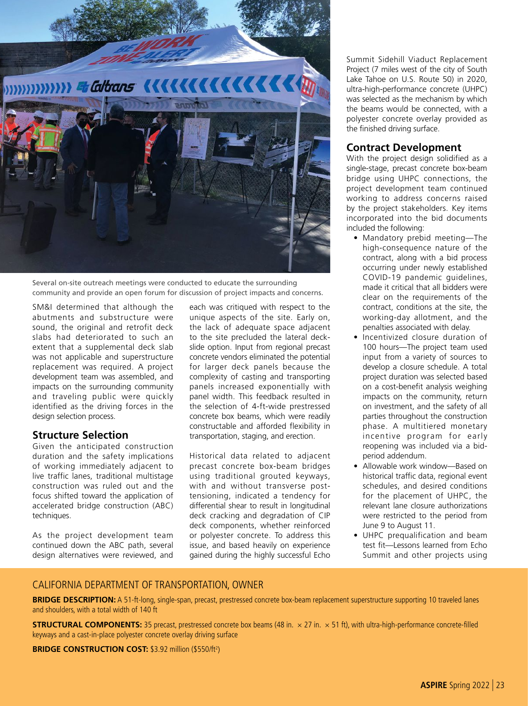

Several on-site outreach meetings were conducted to educate the surrounding community and provide an open forum for discussion of project impacts and concerns.

SM&I determined that although the abutments and substructure were sound, the original and retrofit deck slabs had deteriorated to such an extent that a supplemental deck slab was not applicable and superstructure replacement was required. A project development team was assembled, and impacts on the surrounding community and traveling public were quickly identified as the driving forces in the design selection process.

#### **Structure Selection**

Given the anticipated construction duration and the safety implications of working immediately adjacent to live traffic lanes, traditional multistage construction was ruled out and the focus shifted toward the application of accelerated bridge construction (ABC) techniques.

As the project development team continued down the ABC path, several design alternatives were reviewed, and

each was critiqued with respect to the unique aspects of the site. Early on, the lack of adequate space adjacent to the site precluded the lateral deckslide option. Input from regional precast concrete vendors eliminated the potential for larger deck panels because the complexity of casting and transporting panels increased exponentially with panel width. This feedback resulted in the selection of 4-ft-wide prestressed concrete box beams, which were readily constructable and afforded flexibility in transportation, staging, and erection.

Historical data related to adjacent precast concrete box-beam bridges using traditional grouted keyways, with and without transverse posttensioning, indicated a tendency for differential shear to result in longitudinal deck cracking and degradation of CIP deck components, whether reinforced or polyester concrete. To address this issue, and based heavily on experience gained during the highly successful Echo

Summit Sidehill Viaduct Replacement Project (7 miles west of the city of South Lake Tahoe on U.S. Route 50) in 2020, ultra-high-performance concrete (UHPC) was selected as the mechanism by which the beams would be connected, with a polyester concrete overlay provided as the finished driving surface.

#### **Contract Development**

With the project design solidified as a single-stage, precast concrete box-beam bridge using UHPC connections, the project development team continued working to address concerns raised by the project stakeholders. Key items incorporated into the bid documents included the following:

- Mandatory prebid meeting—The high-consequence nature of the contract, along with a bid process occurring under newly established COVID-19 pandemic guidelines, made it critical that all bidders were clear on the requirements of the contract, conditions at the site, the working-day allotment, and the penalties associated with delay.
- Incentivized closure duration of 100 hours—The project team used input from a variety of sources to develop a closure schedule. A total project duration was selected based on a cost-benefit analysis weighing impacts on the community, return on investment, and the safety of all parties throughout the construction phase. A multitiered monetary incentive program for early reopening was included via a bidperiod addendum.
- Allowable work window—Based on historical traffic data, regional event schedules, and desired conditions for the placement of UHPC, the relevant lane closure authorizations were restricted to the period from June 9 to August 11.
- UHPC prequalification and beam test fit—Lessons learned from Echo Summit and other projects using

#### CALIFORNIA DEPARTMENT OF TRANSPORTATION, OWNER

**BRIDGE DESCRIPTION:** A 51-ft-long, single-span, precast, prestressed concrete box-beam replacement superstructure supporting 10 traveled lanes and shoulders, with a total width of 140 ft

**STRUCTURAL COMPONENTS:** 35 precast, prestressed concrete box beams (48 in. × 27 in. × 51 ft), with ultra-high-performance concrete-filled keyways and a cast-in-place polyester concrete overlay driving surface

**BRIDGE CONSTRUCTION COST: \$3.92 million (\$550/ft<sup>2</sup>)**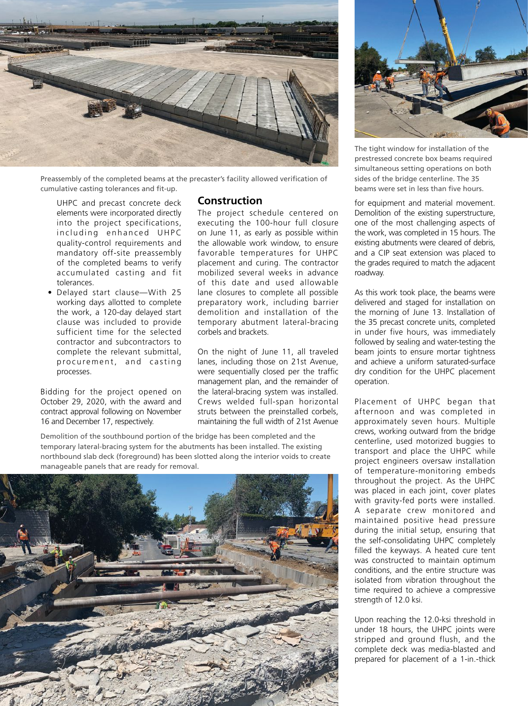

Preassembly of the completed beams at the precaster's facility allowed verification of cumulative casting tolerances and fit-up.

UHPC and precast concrete deck elements were incorporated directly into the project specifications, including enhanced UHPC quality-control requirements and mandatory off-site preassembly of the completed beams to verify accumulated casting and fit tolerances.

• Delayed start clause—With 25 working days allotted to complete the work, a 120-day delayed start clause was included to provide sufficient time for the selected contractor and subcontractors to complete the relevant submittal, procurement, and casting processes.

Bidding for the project opened on October 29, 2020, with the award and contract approval following on November 16 and December 17, respectively.

#### **Construction**

The project schedule centered on executing the 100-hour full closure on June 11, as early as possible within the allowable work window, to ensure favorable temperatures for UHPC placement and curing. The contractor mobilized several weeks in advance of this date and used allowable lane closures to complete all possible preparatory work, including barrier demolition and installation of the temporary abutment lateral-bracing corbels and brackets.

On the night of June 11, all traveled lanes, including those on 21st Avenue, were sequentially closed per the traffic management plan, and the remainder of the lateral-bracing system was installed. Crews welded full-span horizontal struts between the preinstalled corbels, maintaining the full width of 21st Avenue

Demolition of the southbound portion of the bridge has been completed and the temporary lateral-bracing system for the abutments has been installed. The existing northbound slab deck (foreground) has been slotted along the interior voids to create manageable panels that are ready for removal.





The tight window for installation of the prestressed concrete box beams required simultaneous setting operations on both sides of the bridge centerline. The 35 beams were set in less than five hours.

for equipment and material movement. Demolition of the existing superstructure, one of the most challenging aspects of the work, was completed in 15 hours. The existing abutments were cleared of debris, and a CIP seat extension was placed to the grades required to match the adjacent roadway.

As this work took place, the beams were delivered and staged for installation on the morning of June 13. Installation of the 35 precast concrete units, completed in under five hours, was immediately followed by sealing and water-testing the beam joints to ensure mortar tightness and achieve a uniform saturated-surface dry condition for the UHPC placement operation.

Placement of UHPC began that afternoon and was completed in approximately seven hours. Multiple crews, working outward from the bridge centerline, used motorized buggies to transport and place the UHPC while project engineers oversaw installation of temperature-monitoring embeds throughout the project. As the UHPC was placed in each joint, cover plates with gravity-fed ports were installed. A separate crew monitored and maintained positive head pressure during the initial setup, ensuring that the self-consolidating UHPC completely filled the keyways. A heated cure tent was constructed to maintain optimum conditions, and the entire structure was isolated from vibration throughout the time required to achieve a compressive strength of 12.0 ksi.

Upon reaching the 12.0-ksi threshold in under 18 hours, the UHPC joints were stripped and ground flush, and the complete deck was media-blasted and prepared for placement of a 1-in.-thick